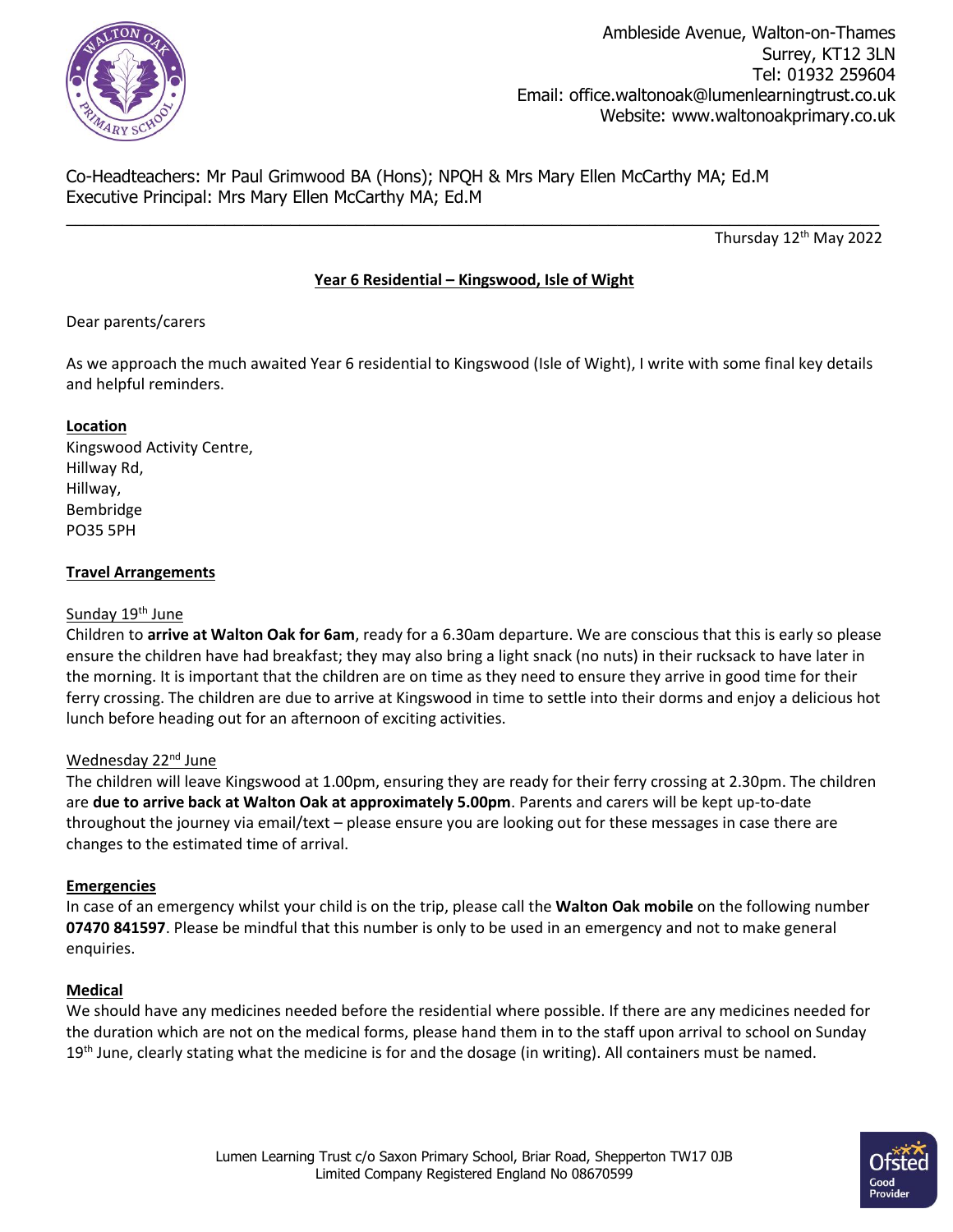

Co-Headteachers: Mr Paul Grimwood BA (Hons); NPQH & Mrs Mary Ellen McCarthy MA; Ed.M Executive Principal: Mrs Mary Ellen McCarthy MA; Ed.M

Thursday 12<sup>th</sup> May 2022

# **Year 6 Residential – Kingswood, Isle of Wight**

 $\_$  , and the set of the set of the set of the set of the set of the set of the set of the set of the set of the set of the set of the set of the set of the set of the set of the set of the set of the set of the set of th

# Dear parents/carers

As we approach the much awaited Year 6 residential to Kingswood (Isle of Wight), I write with some final key details and helpful reminders.

# **Location**

Kingswood Activity Centre, Hillway Rd, Hillway, Bembridge PO35 5PH

#### **Travel Arrangements**

#### Sunday 19<sup>th</sup> June

Children to **arrive at Walton Oak for 6am**, ready for a 6.30am departure. We are conscious that this is early so please ensure the children have had breakfast; they may also bring a light snack (no nuts) in their rucksack to have later in the morning. It is important that the children are on time as they need to ensure they arrive in good time for their ferry crossing. The children are due to arrive at Kingswood in time to settle into their dorms and enjoy a delicious hot lunch before heading out for an afternoon of exciting activities.

# Wednesday 22<sup>nd</sup> June

The children will leave Kingswood at 1.00pm, ensuring they are ready for their ferry crossing at 2.30pm. The children are **due to arrive back at Walton Oak at approximately 5.00pm**. Parents and carers will be kept up-to-date throughout the journey via email/text – please ensure you are looking out for these messages in case there are changes to the estimated time of arrival.

# **Emergencies**

In case of an emergency whilst your child is on the trip, please call the **Walton Oak mobile** on the following number **07470 841597**. Please be mindful that this number is only to be used in an emergency and not to make general enquiries.

#### **Medical**

We should have any medicines needed before the residential where possible. If there are any medicines needed for the duration which are not on the medical forms, please hand them in to the staff upon arrival to school on Sunday  $19<sup>th</sup>$  June, clearly stating what the medicine is for and the dosage (in writing). All containers must be named.